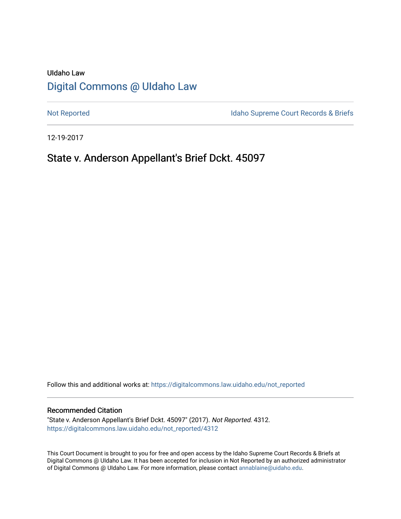# UIdaho Law [Digital Commons @ UIdaho Law](https://digitalcommons.law.uidaho.edu/)

[Not Reported](https://digitalcommons.law.uidaho.edu/not_reported) **Idaho Supreme Court Records & Briefs** 

12-19-2017

# State v. Anderson Appellant's Brief Dckt. 45097

Follow this and additional works at: [https://digitalcommons.law.uidaho.edu/not\\_reported](https://digitalcommons.law.uidaho.edu/not_reported?utm_source=digitalcommons.law.uidaho.edu%2Fnot_reported%2F4312&utm_medium=PDF&utm_campaign=PDFCoverPages) 

#### Recommended Citation

"State v. Anderson Appellant's Brief Dckt. 45097" (2017). Not Reported. 4312. [https://digitalcommons.law.uidaho.edu/not\\_reported/4312](https://digitalcommons.law.uidaho.edu/not_reported/4312?utm_source=digitalcommons.law.uidaho.edu%2Fnot_reported%2F4312&utm_medium=PDF&utm_campaign=PDFCoverPages)

This Court Document is brought to you for free and open access by the Idaho Supreme Court Records & Briefs at Digital Commons @ UIdaho Law. It has been accepted for inclusion in Not Reported by an authorized administrator of Digital Commons @ UIdaho Law. For more information, please contact [annablaine@uidaho.edu](mailto:annablaine@uidaho.edu).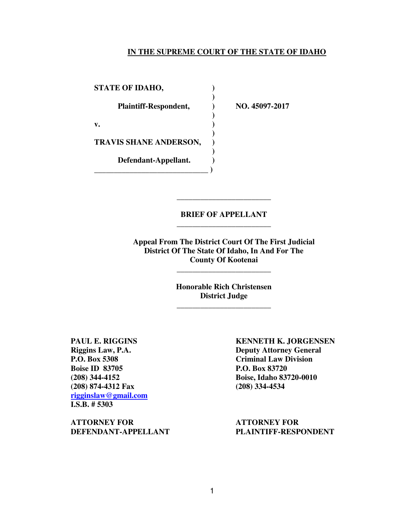### **IN THE SUPREME COURT OF THE STATE OF IDAHO**

STATE OF IDAHO,  **) Plaintiff-Respondent, ) NO. 45097-2017 ) v. ) ) TRAVIS SHANE ANDERSON, ) ) Defendant-Appellant. ) \_\_\_\_\_\_\_\_\_\_\_\_\_\_\_\_\_\_\_\_\_\_\_\_\_\_\_\_\_ )** 

### **BRIEF OF APPELLANT**  \_\_\_\_\_\_\_\_\_\_\_\_\_\_\_\_\_\_\_\_\_\_\_\_

\_\_\_\_\_\_\_\_\_\_\_\_\_\_\_\_\_\_\_\_\_\_\_\_

**Appeal From The District Court Of The First Judicial District Of The State Of Idaho, In And For The County Of Kootenai** 

> **Honorable Rich Christensen District Judge**  \_\_\_\_\_\_\_\_\_\_\_\_\_\_\_\_\_\_\_\_\_\_\_\_

\_\_\_\_\_\_\_\_\_\_\_\_\_\_\_\_\_\_\_\_\_\_\_\_

**Boise ID 83705** P.O. Box 83720 **(208) 874-4312 Fax (208) 334-4534 rigginslaw@gmail.com I.S.B. # 5303** 

**ATTORNEY FOR ATTORNEY FOR DEFENDANT-APPELLANT PLAINTIFF-RESPONDENT**

**PAUL E. RIGGINS KENNETH K. JORGENSEN Riggins Law, P.A. Deputy Attorney General P.O. Box 5308 Criminal Law Division (208) 344-4152 Boise, Idaho 83720-0010**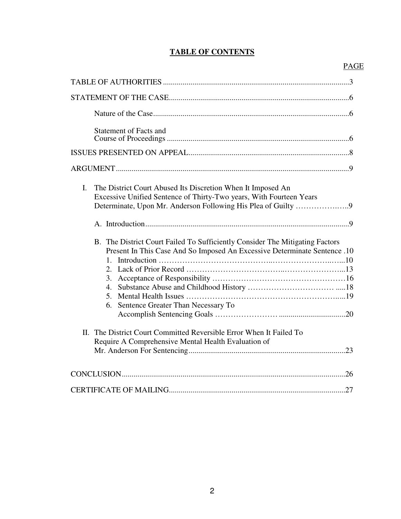## **TABLE OF CONTENTS**

# PAGE

| <b>Statement of Facts and</b>                                                                                                                                                                                                                                                              |
|--------------------------------------------------------------------------------------------------------------------------------------------------------------------------------------------------------------------------------------------------------------------------------------------|
|                                                                                                                                                                                                                                                                                            |
|                                                                                                                                                                                                                                                                                            |
| L.<br>The District Court Abused Its Discretion When It Imposed An<br>Excessive Unified Sentence of Thirty-Two years, With Fourteen Years                                                                                                                                                   |
|                                                                                                                                                                                                                                                                                            |
| B. The District Court Failed To Sufficiently Consider The Mitigating Factors<br>Present In This Case And So Imposed An Excessive Determinate Sentence .10<br>$1_{-}$<br>2.<br>6. Sentence Greater Than Necessary To<br>II. The District Court Committed Reversible Error When It Failed To |
| Require A Comprehensive Mental Health Evaluation of                                                                                                                                                                                                                                        |
|                                                                                                                                                                                                                                                                                            |
|                                                                                                                                                                                                                                                                                            |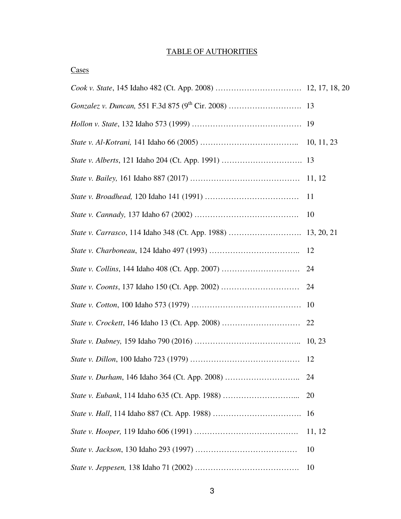## TABLE OF AUTHORITIES

| Ξ |  |
|---|--|
|   |  |

|                                                | <sup>11</sup> |
|------------------------------------------------|---------------|
|                                                | 10            |
|                                                |               |
|                                                |               |
|                                                | 24            |
|                                                | 24            |
|                                                | 10            |
|                                                |               |
|                                                |               |
|                                                | 12            |
| State v. Durham, 146 Idaho 364 (Ct. App. 2008) |               |
| State v. Eubank, 114 Idaho 635 (Ct. App. 1988) | 20            |
|                                                | 16            |
|                                                | 11, 12        |
|                                                | 10            |
|                                                | 10            |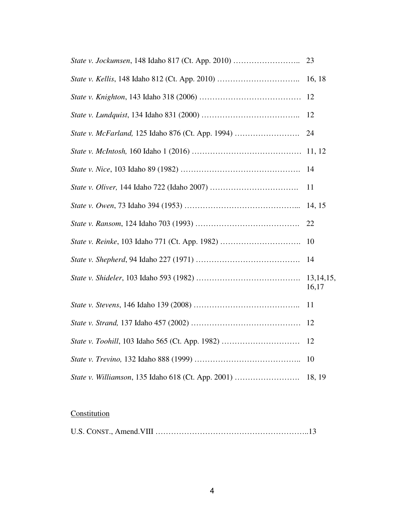|                                                    | 23                 |
|----------------------------------------------------|--------------------|
|                                                    | 16, 18             |
|                                                    | 12                 |
|                                                    | 12                 |
| State v. McFarland, 125 Idaho 876 (Ct. App. 1994)  | 24                 |
|                                                    | 11, 12             |
|                                                    | 14                 |
|                                                    | 11                 |
|                                                    | 14, 15             |
|                                                    | 22                 |
| State v. Reinke, 103 Idaho 771 (Ct. App. 1982)     | 10                 |
|                                                    | 14                 |
|                                                    | 13,14,15,<br>16,17 |
|                                                    | 11                 |
|                                                    | 12                 |
| State v. Toohill, 103 Idaho 565 (Ct. App. 1982)    | 12                 |
|                                                    | 10                 |
| State v. Williamson, 135 Idaho 618 (Ct. App. 2001) | 18, 19             |

# **Constitution**

|--|--|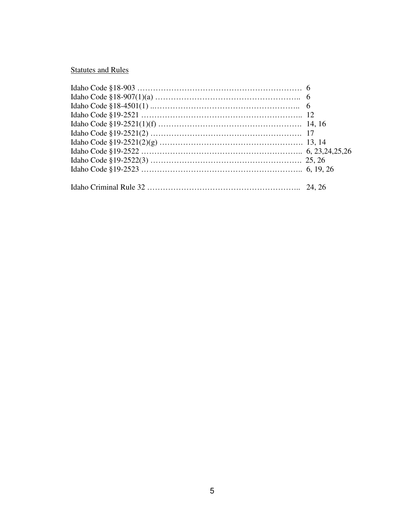# Statutes and Rules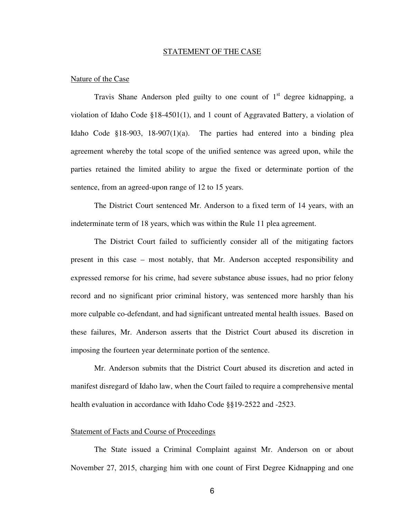#### STATEMENT OF THE CASE

### Nature of the Case

Travis Shane Anderson pled guilty to one count of  $1<sup>st</sup>$  degree kidnapping, a violation of Idaho Code §18-4501(1), and 1 count of Aggravated Battery, a violation of Idaho Code §18-903, 18-907(1)(a). The parties had entered into a binding plea agreement whereby the total scope of the unified sentence was agreed upon, while the parties retained the limited ability to argue the fixed or determinate portion of the sentence, from an agreed-upon range of 12 to 15 years.

The District Court sentenced Mr. Anderson to a fixed term of 14 years, with an indeterminate term of 18 years, which was within the Rule 11 plea agreement.

The District Court failed to sufficiently consider all of the mitigating factors present in this case – most notably, that Mr. Anderson accepted responsibility and expressed remorse for his crime, had severe substance abuse issues, had no prior felony record and no significant prior criminal history, was sentenced more harshly than his more culpable co-defendant, and had significant untreated mental health issues. Based on these failures, Mr. Anderson asserts that the District Court abused its discretion in imposing the fourteen year determinate portion of the sentence.

Mr. Anderson submits that the District Court abused its discretion and acted in manifest disregard of Idaho law, when the Court failed to require a comprehensive mental health evaluation in accordance with Idaho Code §§19-2522 and -2523.

### Statement of Facts and Course of Proceedings

The State issued a Criminal Complaint against Mr. Anderson on or about November 27, 2015, charging him with one count of First Degree Kidnapping and one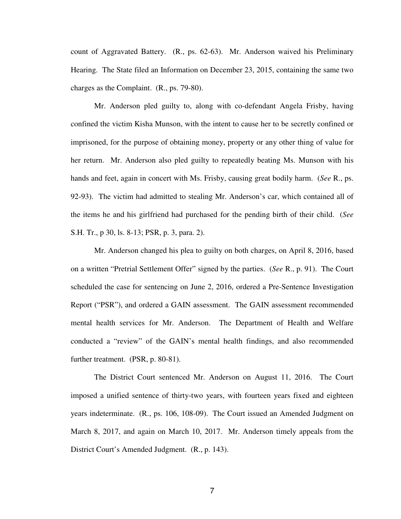count of Aggravated Battery. (R., ps. 62-63). Mr. Anderson waived his Preliminary Hearing. The State filed an Information on December 23, 2015, containing the same two charges as the Complaint. (R., ps. 79-80).

 Mr. Anderson pled guilty to, along with co-defendant Angela Frisby, having confined the victim Kisha Munson, with the intent to cause her to be secretly confined or imprisoned, for the purpose of obtaining money, property or any other thing of value for her return. Mr. Anderson also pled guilty to repeatedly beating Ms. Munson with his hands and feet, again in concert with Ms. Frisby, causing great bodily harm. (*See* R., ps. 92-93). The victim had admitted to stealing Mr. Anderson's car, which contained all of the items he and his girlfriend had purchased for the pending birth of their child. (*See*  S.H. Tr., p 30, ls. 8-13; PSR, p. 3, para. 2).

 Mr. Anderson changed his plea to guilty on both charges, on April 8, 2016, based on a written "Pretrial Settlement Offer" signed by the parties. (*See* R., p. 91). The Court scheduled the case for sentencing on June 2, 2016, ordered a Pre-Sentence Investigation Report ("PSR"), and ordered a GAIN assessment. The GAIN assessment recommended mental health services for Mr. Anderson. The Department of Health and Welfare conducted a "review" of the GAIN's mental health findings, and also recommended further treatment. (PSR, p. 80-81).

 The District Court sentenced Mr. Anderson on August 11, 2016. The Court imposed a unified sentence of thirty-two years, with fourteen years fixed and eighteen years indeterminate. (R., ps. 106, 108-09). The Court issued an Amended Judgment on March 8, 2017, and again on March 10, 2017. Mr. Anderson timely appeals from the District Court's Amended Judgment. (R., p. 143).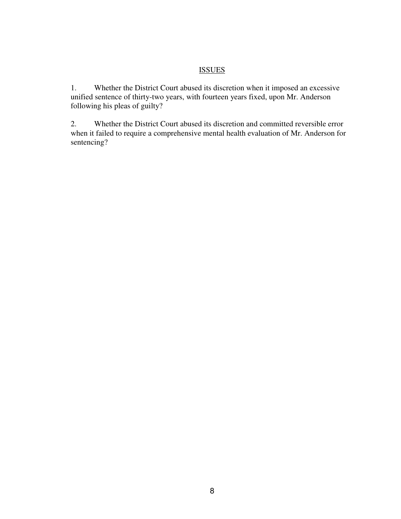### **ISSUES**

1. Whether the District Court abused its discretion when it imposed an excessive unified sentence of thirty-two years, with fourteen years fixed, upon Mr. Anderson following his pleas of guilty?

2. Whether the District Court abused its discretion and committed reversible error when it failed to require a comprehensive mental health evaluation of Mr. Anderson for sentencing?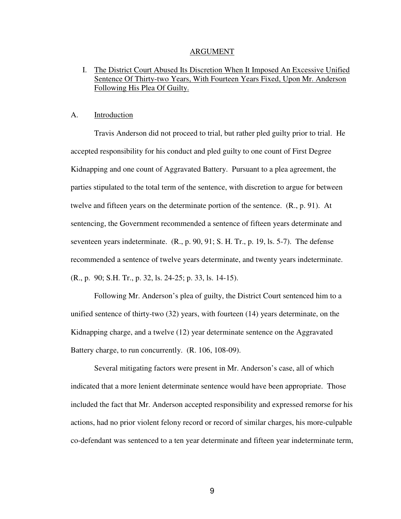#### ARGUMENT

### I. The District Court Abused Its Discretion When It Imposed An Excessive Unified Sentence Of Thirty-two Years, With Fourteen Years Fixed, Upon Mr. Anderson Following His Plea Of Guilty.

### A. Introduction

Travis Anderson did not proceed to trial, but rather pled guilty prior to trial. He accepted responsibility for his conduct and pled guilty to one count of First Degree Kidnapping and one count of Aggravated Battery. Pursuant to a plea agreement, the parties stipulated to the total term of the sentence, with discretion to argue for between twelve and fifteen years on the determinate portion of the sentence. (R., p. 91). At sentencing, the Government recommended a sentence of fifteen years determinate and seventeen years indeterminate. (R., p. 90, 91; S. H. Tr., p. 19, ls. 5-7). The defense recommended a sentence of twelve years determinate, and twenty years indeterminate. (R., p. 90; S.H. Tr., p. 32, ls. 24-25; p. 33, ls. 14-15).

Following Mr. Anderson's plea of guilty, the District Court sentenced him to a unified sentence of thirty-two (32) years, with fourteen (14) years determinate, on the Kidnapping charge, and a twelve (12) year determinate sentence on the Aggravated Battery charge, to run concurrently. (R. 106, 108-09).

Several mitigating factors were present in Mr. Anderson's case, all of which indicated that a more lenient determinate sentence would have been appropriate. Those included the fact that Mr. Anderson accepted responsibility and expressed remorse for his actions, had no prior violent felony record or record of similar charges, his more-culpable co-defendant was sentenced to a ten year determinate and fifteen year indeterminate term,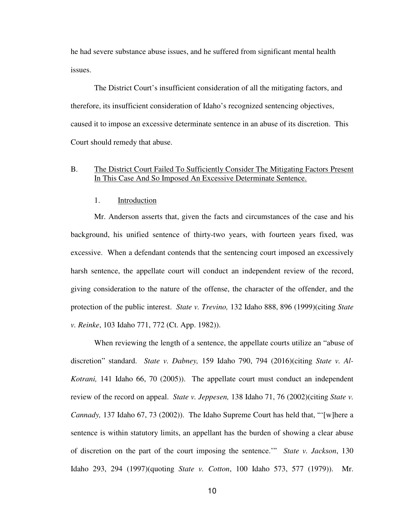he had severe substance abuse issues, and he suffered from significant mental health issues.

The District Court's insufficient consideration of all the mitigating factors, and therefore, its insufficient consideration of Idaho's recognized sentencing objectives, caused it to impose an excessive determinate sentence in an abuse of its discretion. This Court should remedy that abuse.

### B. The District Court Failed To Sufficiently Consider The Mitigating Factors Present In This Case And So Imposed An Excessive Determinate Sentence.

### 1. Introduction

Mr. Anderson asserts that, given the facts and circumstances of the case and his background, his unified sentence of thirty-two years, with fourteen years fixed, was excessive. When a defendant contends that the sentencing court imposed an excessively harsh sentence, the appellate court will conduct an independent review of the record, giving consideration to the nature of the offense, the character of the offender, and the protection of the public interest. *State v. Trevino,* 132 Idaho 888, 896 (1999)(citing *State v. Reinke*, 103 Idaho 771, 772 (Ct. App. 1982)).

When reviewing the length of a sentence, the appellate courts utilize an "abuse of discretion" standard. *State v. Dabney,* 159 Idaho 790, 794 (2016)(citing *State v. Al-Kotrani,* 141 Idaho 66, 70 (2005)). The appellate court must conduct an independent review of the record on appeal. *State v. Jeppesen,* 138 Idaho 71, 76 (2002)(citing *State v. Cannady,* 137 Idaho 67, 73 (2002)). The Idaho Supreme Court has held that, "'[w]here a sentence is within statutory limits, an appellant has the burden of showing a clear abuse of discretion on the part of the court imposing the sentence.'" *State v. Jackson*, 130 Idaho 293, 294 (1997)(quoting *State v. Cotton*, 100 Idaho 573, 577 (1979)). Mr.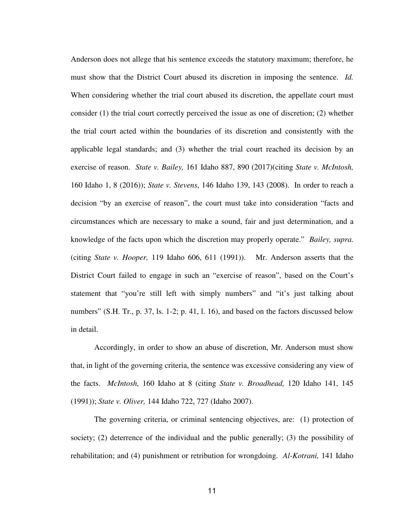Anderson does not allege that his sentence exceeds the statutory maximum; therefore, he must show that the District Court abused its discretion in imposing the sentence. *Id.*  When considering whether the trial court abused its discretion, the appellate court must consider (1) the trial court correctly perceived the issue as one of discretion; (2) whether the trial court acted within the boundaries of its discretion and consistently with the applicable legal standards; and (3) whether the trial court reached its decision by an exercise of reason. *State v. Bailey,* 161 Idaho 887, 890 (2017)(citing *State v. McIntosh,*  160 Idaho 1, 8 (2016)); *State v. Stevens*, 146 Idaho 139, 143 (2008). In order to reach a decision "by an exercise of reason", the court must take into consideration "facts and circumstances which are necessary to make a sound, fair and just determination, and a knowledge of the facts upon which the discretion may properly operate." *Bailey, supra.*  (citing *State v. Hooper,* 119 Idaho 606, 611 (1991)). Mr. Anderson asserts that the District Court failed to engage in such an "exercise of reason", based on the Court's statement that "you're still left with simply numbers" and "it's just talking about numbers" (S.H. Tr., p. 37, ls. 1-2; p. 41, l. 16), and based on the factors discussed below in detail.

Accordingly, in order to show an abuse of discretion, Mr. Anderson must show that, in light of the governing criteria, the sentence was excessive considering any view of the facts. *McIntosh,* 160 Idaho at 8 (citing *State v. Broadhead,* 120 Idaho 141, 145 (1991)); *State v. Oliver,* 144 Idaho 722, 727 (Idaho 2007).

The governing criteria, or criminal sentencing objectives, are: (1) protection of society; (2) deterrence of the individual and the public generally; (3) the possibility of rehabilitation; and (4) punishment or retribution for wrongdoing. *Al-Kotrani,* 141 Idaho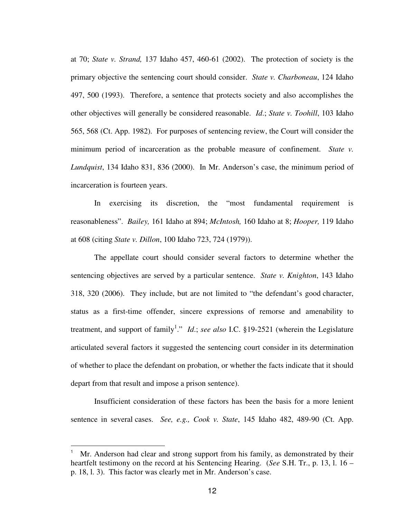at 70; *State v. Strand,* 137 Idaho 457, 460-61 (2002). The protection of society is the primary objective the sentencing court should consider. *State v. Charboneau*, 124 Idaho 497, 500 (1993). Therefore, a sentence that protects society and also accomplishes the other objectives will generally be considered reasonable. *Id*.; *State v. Toohill*, 103 Idaho 565, 568 (Ct. App. 1982). For purposes of sentencing review, the Court will consider the minimum period of incarceration as the probable measure of confinement. *State v. Lundquist*, 134 Idaho 831, 836 (2000). In Mr. Anderson's case, the minimum period of incarceration is fourteen years.

In exercising its discretion, the "most fundamental requirement is reasonableness". *Bailey,* 161 Idaho at 894; *McIntosh,* 160 Idaho at 8; *Hooper,* 119 Idaho at 608 (citing *State v. Dillon*, 100 Idaho 723, 724 (1979)).

The appellate court should consider several factors to determine whether the sentencing objectives are served by a particular sentence. *State v. Knighton*, 143 Idaho 318, 320 (2006). They include, but are not limited to "the defendant's good character, status as a first-time offender, sincere expressions of remorse and amenability to treatment, and support of family<sup>1</sup>." *Id.*; *see also* I.C. §19-2521 (wherein the Legislature articulated several factors it suggested the sentencing court consider in its determination of whether to place the defendant on probation, or whether the facts indicate that it should depart from that result and impose a prison sentence).

Insufficient consideration of these factors has been the basis for a more lenient sentence in several cases. *See, e.g., Cook v. State*, 145 Idaho 482, 489-90 (Ct. App.

<sup>1</sup> Mr. Anderson had clear and strong support from his family, as demonstrated by their heartfelt testimony on the record at his Sentencing Hearing. (*See* S.H. Tr., p. 13, l. 16 – p. 18, l. 3). This factor was clearly met in Mr. Anderson's case.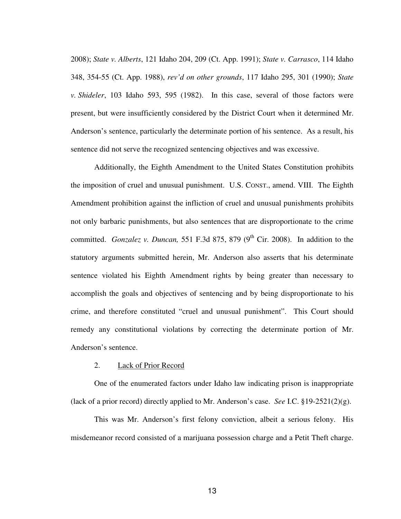2008); *State v. Alberts*, 121 Idaho 204, 209 (Ct. App. 1991); *State v. Carrasco*, 114 Idaho 348, 354-55 (Ct. App. 1988), *rev'd on other grounds*, 117 Idaho 295, 301 (1990); *State v. Shideler*, 103 Idaho 593, 595 (1982). In this case, several of those factors were present, but were insufficiently considered by the District Court when it determined Mr. Anderson's sentence, particularly the determinate portion of his sentence. As a result, his sentence did not serve the recognized sentencing objectives and was excessive.

Additionally, the Eighth Amendment to the United States Constitution prohibits the imposition of cruel and unusual punishment. U.S. CONST., amend. VIII. The Eighth Amendment prohibition against the infliction of cruel and unusual punishments prohibits not only barbaric punishments, but also sentences that are disproportionate to the crime committed. *Gonzalez v. Duncan*, 551 F.3d 875, 879 (9<sup>th</sup> Cir. 2008). In addition to the statutory arguments submitted herein, Mr. Anderson also asserts that his determinate sentence violated his Eighth Amendment rights by being greater than necessary to accomplish the goals and objectives of sentencing and by being disproportionate to his crime, and therefore constituted "cruel and unusual punishment". This Court should remedy any constitutional violations by correcting the determinate portion of Mr. Anderson's sentence.

### 2. Lack of Prior Record

One of the enumerated factors under Idaho law indicating prison is inappropriate (lack of a prior record) directly applied to Mr. Anderson's case. *See* I.C. §19-2521(2)(g).

This was Mr. Anderson's first felony conviction, albeit a serious felony. His misdemeanor record consisted of a marijuana possession charge and a Petit Theft charge.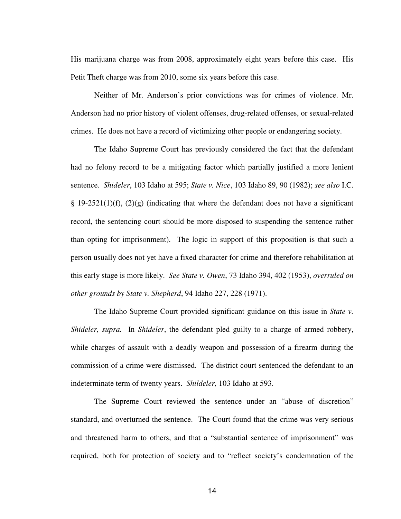His marijuana charge was from 2008, approximately eight years before this case. His Petit Theft charge was from 2010, some six years before this case.

Neither of Mr. Anderson's prior convictions was for crimes of violence. Mr. Anderson had no prior history of violent offenses, drug-related offenses, or sexual-related crimes. He does not have a record of victimizing other people or endangering society.

The Idaho Supreme Court has previously considered the fact that the defendant had no felony record to be a mitigating factor which partially justified a more lenient sentence. *Shideler*, 103 Idaho at 595; *State v. Nice*, 103 Idaho 89, 90 (1982); *see also* I.C. § 19-2521(1)(f), (2)(g) (indicating that where the defendant does not have a significant record, the sentencing court should be more disposed to suspending the sentence rather than opting for imprisonment). The logic in support of this proposition is that such a person usually does not yet have a fixed character for crime and therefore rehabilitation at this early stage is more likely. *See State v. Owen*, 73 Idaho 394, 402 (1953), *overruled on other grounds by State v. Shepherd*, 94 Idaho 227, 228 (1971).

The Idaho Supreme Court provided significant guidance on this issue in *State v. Shideler, supra.* In *Shideler*, the defendant pled guilty to a charge of armed robbery, while charges of assault with a deadly weapon and possession of a firearm during the commission of a crime were dismissed. The district court sentenced the defendant to an indeterminate term of twenty years. *Shildeler,* 103 Idaho at 593.

The Supreme Court reviewed the sentence under an "abuse of discretion" standard, and overturned the sentence. The Court found that the crime was very serious and threatened harm to others, and that a "substantial sentence of imprisonment" was required, both for protection of society and to "reflect society's condemnation of the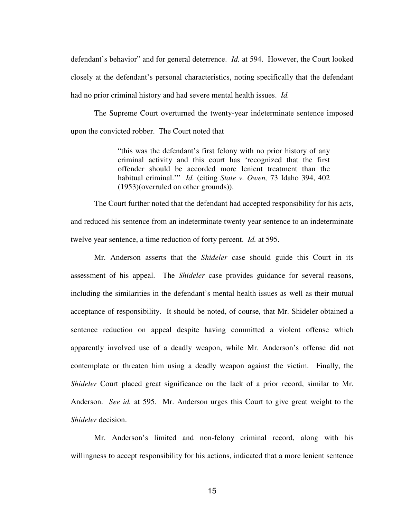defendant's behavior" and for general deterrence. *Id.* at 594. However, the Court looked closely at the defendant's personal characteristics, noting specifically that the defendant had no prior criminal history and had severe mental health issues. *Id.* 

The Supreme Court overturned the twenty-year indeterminate sentence imposed upon the convicted robber. The Court noted that

> "this was the defendant's first felony with no prior history of any criminal activity and this court has 'recognized that the first offender should be accorded more lenient treatment than the habitual criminal.'" *Id.* (citing *State v. Owen,* 73 Idaho 394, 402 (1953)(overruled on other grounds)).

The Court further noted that the defendant had accepted responsibility for his acts, and reduced his sentence from an indeterminate twenty year sentence to an indeterminate twelve year sentence, a time reduction of forty percent. *Id.* at 595.

Mr. Anderson asserts that the *Shideler* case should guide this Court in its assessment of his appeal. The *Shideler* case provides guidance for several reasons, including the similarities in the defendant's mental health issues as well as their mutual acceptance of responsibility. It should be noted, of course, that Mr. Shideler obtained a sentence reduction on appeal despite having committed a violent offense which apparently involved use of a deadly weapon, while Mr. Anderson's offense did not contemplate or threaten him using a deadly weapon against the victim. Finally, the *Shideler* Court placed great significance on the lack of a prior record, similar to Mr. Anderson. *See id.* at 595. Mr. Anderson urges this Court to give great weight to the *Shideler* decision.

Mr. Anderson's limited and non-felony criminal record, along with his willingness to accept responsibility for his actions, indicated that a more lenient sentence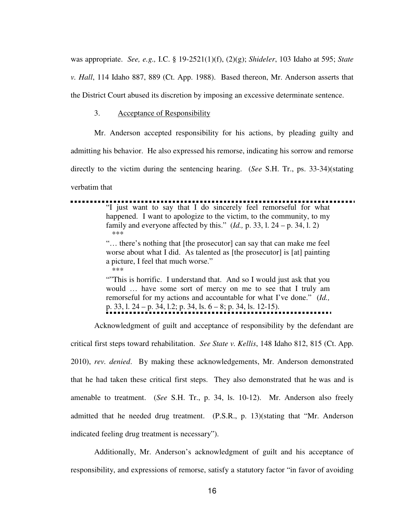was appropriate. *See, e.g.,* I.C. § 19-2521(1)(f), (2)(g); *Shideler*, 103 Idaho at 595; *State v. Hall*, 114 Idaho 887, 889 (Ct. App. 1988). Based thereon, Mr. Anderson asserts that the District Court abused its discretion by imposing an excessive determinate sentence.

### 3. Acceptance of Responsibility

Mr. Anderson accepted responsibility for his actions, by pleading guilty and

admitting his behavior. He also expressed his remorse, indicating his sorrow and remorse

directly to the victim during the sentencing hearing. (*See* S.H. Tr., ps. 33-34)(stating

verbatim that

"I just want to say that I do sincerely feel remorseful for what ••••••••••••••••••••••••••••••••••••••••••••••••••••••••••••••••••••••••• happened. I want to apologize to the victim, to the community, to my family and everyone affected by this." (*Id.,* p. 33, l. 24 – p. 34, l. 2) \*\*\* "… there's nothing that [the prosecutor] can say that can make me feel worse about what I did. As talented as [the prosecutor] is [at] painting a picture, I feel that much worse." \*\*\* ""This is horrific. I understand that. And so I would just ask that you

would … have some sort of mercy on me to see that I truly am remorseful for my actions and accountable for what I've done." (*Id.,*  p. 33, l. 24 – p. 34, l.2; p. 34, ls. 6 – 8; p. 34, ls. 12-15). ••••••••••••••••••••••••••••••••••••••••••••••••••••••••••

Acknowledgment of guilt and acceptance of responsibility by the defendant are

critical first steps toward rehabilitation. *See State v. Kellis*, 148 Idaho 812, 815 (Ct. App. 2010), *rev. denied*. By making these acknowledgements, Mr. Anderson demonstrated that he had taken these critical first steps. They also demonstrated that he was and is amenable to treatment. (*See* S.H. Tr., p. 34, ls. 10-12). Mr. Anderson also freely admitted that he needed drug treatment. (P.S.R., p. 13)(stating that "Mr. Anderson indicated feeling drug treatment is necessary").

Additionally, Mr. Anderson's acknowledgment of guilt and his acceptance of responsibility, and expressions of remorse, satisfy a statutory factor "in favor of avoiding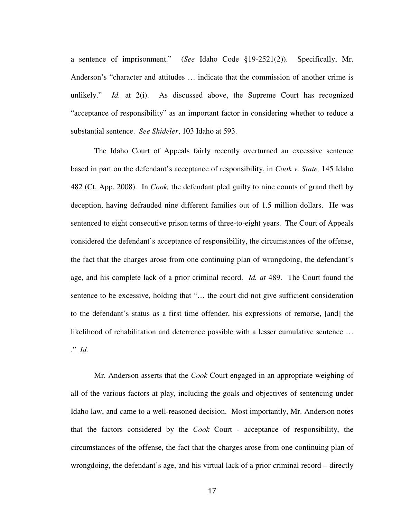a sentence of imprisonment." (*See* Idaho Code §19-2521(2)). Specifically, Mr. Anderson's "character and attitudes … indicate that the commission of another crime is unlikely." *Id.* at 2(i). As discussed above, the Supreme Court has recognized "acceptance of responsibility" as an important factor in considering whether to reduce a substantial sentence. *See Shideler*, 103 Idaho at 593.

The Idaho Court of Appeals fairly recently overturned an excessive sentence based in part on the defendant's acceptance of responsibility, in *Cook v. State,* 145 Idaho 482 (Ct. App. 2008). In *Cook,* the defendant pled guilty to nine counts of grand theft by deception, having defrauded nine different families out of 1.5 million dollars. He was sentenced to eight consecutive prison terms of three-to-eight years. The Court of Appeals considered the defendant's acceptance of responsibility, the circumstances of the offense, the fact that the charges arose from one continuing plan of wrongdoing, the defendant's age, and his complete lack of a prior criminal record. *Id. at* 489. The Court found the sentence to be excessive, holding that "… the court did not give sufficient consideration to the defendant's status as a first time offender, his expressions of remorse, [and] the likelihood of rehabilitation and deterrence possible with a lesser cumulative sentence … ." *Id.* 

Mr. Anderson asserts that the *Cook* Court engaged in an appropriate weighing of all of the various factors at play, including the goals and objectives of sentencing under Idaho law, and came to a well-reasoned decision. Most importantly, Mr. Anderson notes that the factors considered by the *Cook* Court - acceptance of responsibility, the circumstances of the offense, the fact that the charges arose from one continuing plan of wrongdoing, the defendant's age, and his virtual lack of a prior criminal record – directly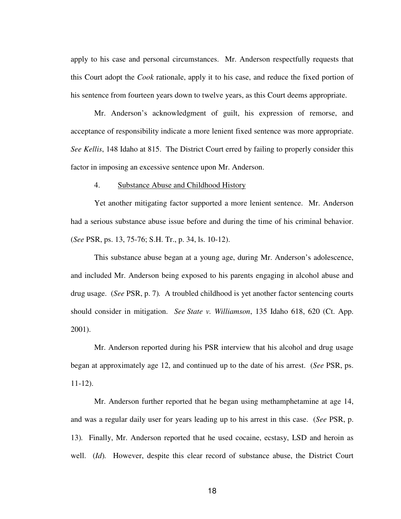apply to his case and personal circumstances. Mr. Anderson respectfully requests that this Court adopt the *Cook* rationale, apply it to his case, and reduce the fixed portion of his sentence from fourteen years down to twelve years, as this Court deems appropriate.

Mr. Anderson's acknowledgment of guilt, his expression of remorse, and acceptance of responsibility indicate a more lenient fixed sentence was more appropriate. *See Kellis*, 148 Idaho at 815. The District Court erred by failing to properly consider this factor in imposing an excessive sentence upon Mr. Anderson.

### 4. Substance Abuse and Childhood History

Yet another mitigating factor supported a more lenient sentence. Mr. Anderson had a serious substance abuse issue before and during the time of his criminal behavior. (*See* PSR, ps. 13, 75-76; S.H. Tr., p. 34, ls. 10-12).

This substance abuse began at a young age, during Mr. Anderson's adolescence, and included Mr. Anderson being exposed to his parents engaging in alcohol abuse and drug usage. (*See* PSR, p. 7)*.* A troubled childhood is yet another factor sentencing courts should consider in mitigation. *See State v. Williamson*, 135 Idaho 618, 620 (Ct. App. 2001).

Mr. Anderson reported during his PSR interview that his alcohol and drug usage began at approximately age 12, and continued up to the date of his arrest. (*See* PSR, ps. 11-12).

Mr. Anderson further reported that he began using methamphetamine at age 14, and was a regular daily user for years leading up to his arrest in this case. (*See* PSR, p. 13)*.* Finally, Mr. Anderson reported that he used cocaine, ecstasy, LSD and heroin as well. (*Id*). However, despite this clear record of substance abuse, the District Court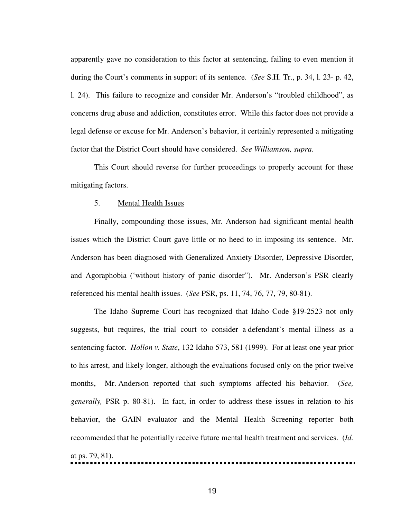apparently gave no consideration to this factor at sentencing, failing to even mention it during the Court's comments in support of its sentence. (*See* S.H. Tr., p. 34, l. 23- p. 42, l. 24). This failure to recognize and consider Mr. Anderson's "troubled childhood", as concerns drug abuse and addiction, constitutes error. While this factor does not provide a legal defense or excuse for Mr. Anderson's behavior, it certainly represented a mitigating factor that the District Court should have considered. *See Williamson, supra.* 

This Court should reverse for further proceedings to properly account for these mitigating factors.

### 5. Mental Health Issues

Finally, compounding those issues, Mr. Anderson had significant mental health issues which the District Court gave little or no heed to in imposing its sentence. Mr. Anderson has been diagnosed with Generalized Anxiety Disorder, Depressive Disorder, and Agoraphobia ('without history of panic disorder"). Mr. Anderson's PSR clearly referenced his mental health issues. (*See* PSR, ps. 11, 74, 76, 77, 79, 80-81).

The Idaho Supreme Court has recognized that Idaho Code §19-2523 not only suggests, but requires, the trial court to consider a defendant's mental illness as a sentencing factor. *Hollon v. State*, 132 Idaho 573, 581 (1999). For at least one year prior to his arrest, and likely longer, although the evaluations focused only on the prior twelve months, Mr. Anderson reported that such symptoms affected his behavior. (*See, generally,* PSR p. 80-81). In fact, in order to address these issues in relation to his behavior, the GAIN evaluator and the Mental Health Screening reporter both recommended that he potentially receive future mental health treatment and services. (*Id.*  at ps. 79, 81). •••••••••••••••••••••••••••••••••••••••••••••••••••••••••••••••••••••••••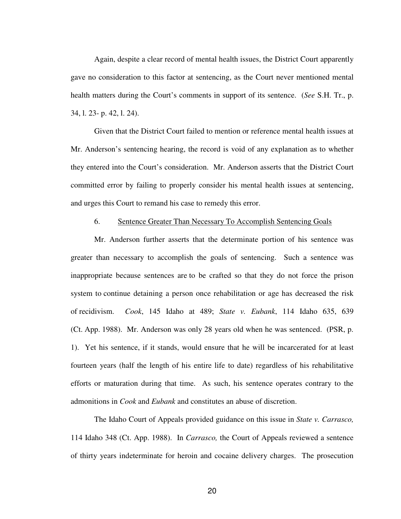Again, despite a clear record of mental health issues, the District Court apparently gave no consideration to this factor at sentencing, as the Court never mentioned mental health matters during the Court's comments in support of its sentence. (*See* S.H. Tr., p. 34, l. 23- p. 42, l. 24).

Given that the District Court failed to mention or reference mental health issues at Mr. Anderson's sentencing hearing, the record is void of any explanation as to whether they entered into the Court's consideration. Mr. Anderson asserts that the District Court committed error by failing to properly consider his mental health issues at sentencing, and urges this Court to remand his case to remedy this error.

### 6. Sentence Greater Than Necessary To Accomplish Sentencing Goals

Mr. Anderson further asserts that the determinate portion of his sentence was greater than necessary to accomplish the goals of sentencing. Such a sentence was inappropriate because sentences are to be crafted so that they do not force the prison system to continue detaining a person once rehabilitation or age has decreased the risk of recidivism. *Cook*, 145 Idaho at 489; *State v. Eubank*, 114 Idaho 635, 639 (Ct. App. 1988). Mr. Anderson was only 28 years old when he was sentenced. (PSR, p. 1). Yet his sentence, if it stands, would ensure that he will be incarcerated for at least fourteen years (half the length of his entire life to date) regardless of his rehabilitative efforts or maturation during that time. As such, his sentence operates contrary to the admonitions in *Cook* and *Eubank* and constitutes an abuse of discretion.

The Idaho Court of Appeals provided guidance on this issue in *State v. Carrasco,*  114 Idaho 348 (Ct. App. 1988). In *Carrasco,* the Court of Appeals reviewed a sentence of thirty years indeterminate for heroin and cocaine delivery charges. The prosecution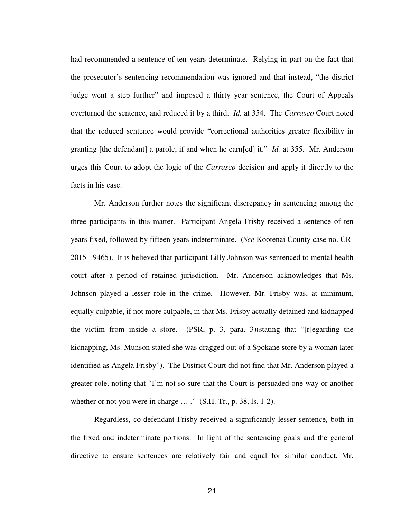had recommended a sentence of ten years determinate. Relying in part on the fact that the prosecutor's sentencing recommendation was ignored and that instead, "the district judge went a step further" and imposed a thirty year sentence, the Court of Appeals overturned the sentence, and reduced it by a third. *Id.* at 354. The *Carrasco* Court noted that the reduced sentence would provide "correctional authorities greater flexibility in granting [the defendant] a parole, if and when he earn[ed] it." *Id.* at 355. Mr. Anderson urges this Court to adopt the logic of the *Carrasco* decision and apply it directly to the facts in his case.

Mr. Anderson further notes the significant discrepancy in sentencing among the three participants in this matter. Participant Angela Frisby received a sentence of ten years fixed, followed by fifteen years indeterminate. (*See* Kootenai County case no. CR-2015-19465). It is believed that participant Lilly Johnson was sentenced to mental health court after a period of retained jurisdiction. Mr. Anderson acknowledges that Ms. Johnson played a lesser role in the crime. However, Mr. Frisby was, at minimum, equally culpable, if not more culpable, in that Ms. Frisby actually detained and kidnapped the victim from inside a store. (PSR, p. 3, para. 3)(stating that "[r]egarding the kidnapping, Ms. Munson stated she was dragged out of a Spokane store by a woman later identified as Angela Frisby"). The District Court did not find that Mr. Anderson played a greater role, noting that "I'm not so sure that the Court is persuaded one way or another whether or not you were in charge  $\ldots$  ." (S.H. Tr., p. 38, ls. 1-2).

Regardless, co-defendant Frisby received a significantly lesser sentence, both in the fixed and indeterminate portions. In light of the sentencing goals and the general directive to ensure sentences are relatively fair and equal for similar conduct, Mr.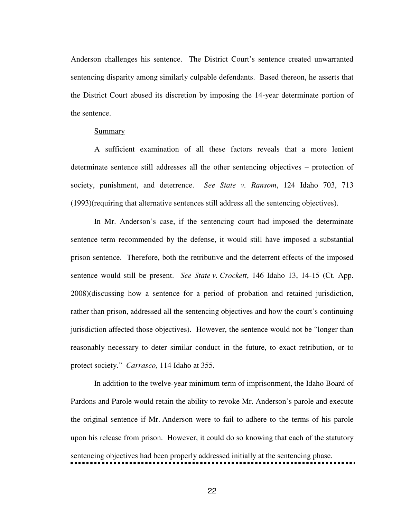Anderson challenges his sentence. The District Court's sentence created unwarranted sentencing disparity among similarly culpable defendants. Based thereon, he asserts that the District Court abused its discretion by imposing the 14-year determinate portion of the sentence.

#### Summary

A sufficient examination of all these factors reveals that a more lenient determinate sentence still addresses all the other sentencing objectives – protection of society, punishment, and deterrence. *See State v. Ransom*, 124 Idaho 703, 713 (1993)(requiring that alternative sentences still address all the sentencing objectives).

In Mr. Anderson's case, if the sentencing court had imposed the determinate sentence term recommended by the defense, it would still have imposed a substantial prison sentence. Therefore, both the retributive and the deterrent effects of the imposed sentence would still be present. *See State v. Crockett*, 146 Idaho 13, 14-15 (Ct. App. 2008)(discussing how a sentence for a period of probation and retained jurisdiction, rather than prison, addressed all the sentencing objectives and how the court's continuing jurisdiction affected those objectives). However, the sentence would not be "longer than reasonably necessary to deter similar conduct in the future, to exact retribution, or to protect society." *Carrasco,* 114 Idaho at 355.

In addition to the twelve-year minimum term of imprisonment, the Idaho Board of Pardons and Parole would retain the ability to revoke Mr. Anderson's parole and execute the original sentence if Mr. Anderson were to fail to adhere to the terms of his parole upon his release from prison. However, it could do so knowing that each of the statutory sentencing objectives had been properly addressed initially at the sentencing phase. •••••••••••••••••••••••••••••••••••••••••••••••••••••••••••••••••••••••••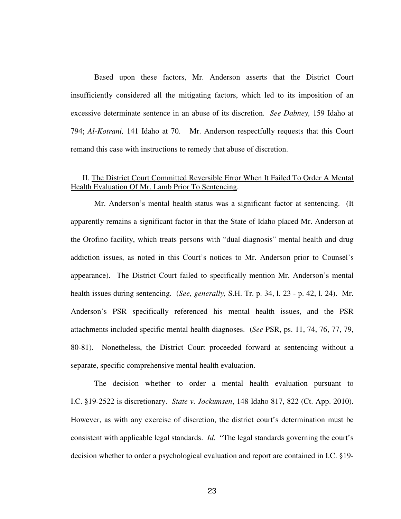Based upon these factors, Mr. Anderson asserts that the District Court insufficiently considered all the mitigating factors, which led to its imposition of an excessive determinate sentence in an abuse of its discretion. *See Dabney,* 159 Idaho at 794; *Al-Kotrani,* 141 Idaho at 70. Mr. Anderson respectfully requests that this Court remand this case with instructions to remedy that abuse of discretion.

### II. The District Court Committed Reversible Error When It Failed To Order A Mental Health Evaluation Of Mr. Lamb Prior To Sentencing.

Mr. Anderson's mental health status was a significant factor at sentencing. (It apparently remains a significant factor in that the State of Idaho placed Mr. Anderson at the Orofino facility, which treats persons with "dual diagnosis" mental health and drug addiction issues, as noted in this Court's notices to Mr. Anderson prior to Counsel's appearance). The District Court failed to specifically mention Mr. Anderson's mental health issues during sentencing. (*See, generally,* S.H. Tr. p. 34, l. 23 - p. 42, l. 24). Mr. Anderson's PSR specifically referenced his mental health issues, and the PSR attachments included specific mental health diagnoses. (*See* PSR, ps. 11, 74, 76, 77, 79, 80-81). Nonetheless, the District Court proceeded forward at sentencing without a separate, specific comprehensive mental health evaluation.

The decision whether to order a mental health evaluation pursuant to I.C. §19-2522 is discretionary. *State v. Jockumsen*, 148 Idaho 817, 822 (Ct. App. 2010). However, as with any exercise of discretion, the district court's determination must be consistent with applicable legal standards. *Id*. "The legal standards governing the court's decision whether to order a psychological evaluation and report are contained in I.C. §19-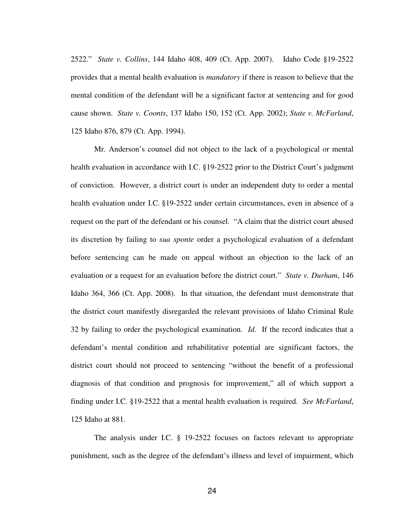2522." *State v. Collins*, 144 Idaho 408, 409 (Ct. App. 2007). Idaho Code §19-2522 provides that a mental health evaluation is *mandatory* if there is reason to believe that the mental condition of the defendant will be a significant factor at sentencing and for good cause shown. *State v. Coonts*, 137 Idaho 150, 152 (Ct. App. 2002); *State v. McFarland*, 125 Idaho 876, 879 (Ct. App. 1994).

Mr. Anderson's counsel did not object to the lack of a psychological or mental health evaluation in accordance with I.C. §19-2522 prior to the District Court's judgment of conviction. However, a district court is under an independent duty to order a mental health evaluation under I.C. §19-2522 under certain circumstances, even in absence of a request on the part of the defendant or his counsel. "A claim that the district court abused its discretion by failing to *sua sponte* order a psychological evaluation of a defendant before sentencing can be made on appeal without an objection to the lack of an evaluation or a request for an evaluation before the district court." *State v. Durham*, 146 Idaho 364, 366 (Ct. App. 2008). In that situation, the defendant must demonstrate that the district court manifestly disregarded the relevant provisions of Idaho Criminal Rule 32 by failing to order the psychological examination. *Id*. If the record indicates that a defendant's mental condition and rehabilitative potential are significant factors, the district court should not proceed to sentencing "without the benefit of a professional diagnosis of that condition and prognosis for improvement," all of which support a finding under I.C. §19-2522 that a mental health evaluation is required. *See McFarland*, 125 Idaho at 881.

The analysis under I.C. § 19-2522 focuses on factors relevant to appropriate punishment, such as the degree of the defendant's illness and level of impairment, which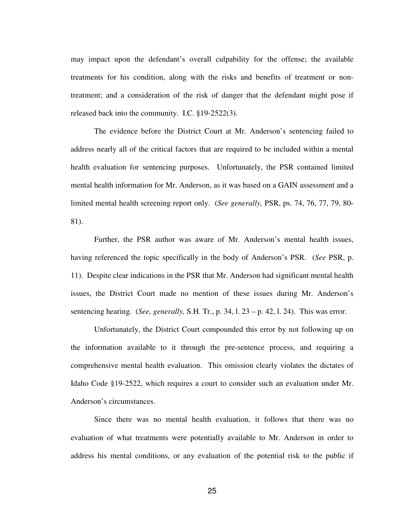may impact upon the defendant's overall culpability for the offense; the available treatments for his condition, along with the risks and benefits of treatment or nontreatment; and a consideration of the risk of danger that the defendant might pose if released back into the community. I.C. §19-2522(3).

The evidence before the District Court at Mr. Anderson's sentencing failed to address nearly all of the critical factors that are required to be included within a mental health evaluation for sentencing purposes. Unfortunately, the PSR contained limited mental health information for Mr. Anderson, as it was based on a GAIN assessment and a limited mental health screening report only. (*See generally,* PSR, ps. 74, 76, 77, 79, 80- 81).

Further, the PSR author was aware of Mr. Anderson's mental health issues, having referenced the topic specifically in the body of Anderson's PSR. (*See* PSR, p. 11). Despite clear indications in the PSR that Mr. Anderson had significant mental health issues, the District Court made no mention of these issues during Mr. Anderson's sentencing hearing. (*See, generally,* S.H. Tr., p. 34, l. 23 – p. 42, l. 24). This was error.

Unfortunately, the District Court compounded this error by not following up on the information available to it through the pre-sentence process, and requiring a comprehensive mental health evaluation. This omission clearly violates the dictates of Idaho Code §19-2522, which requires a court to consider such an evaluation under Mr. Anderson's circumstances.

Since there was no mental health evaluation, it follows that there was no evaluation of what treatments were potentially available to Mr. Anderson in order to address his mental conditions, or any evaluation of the potential risk to the public if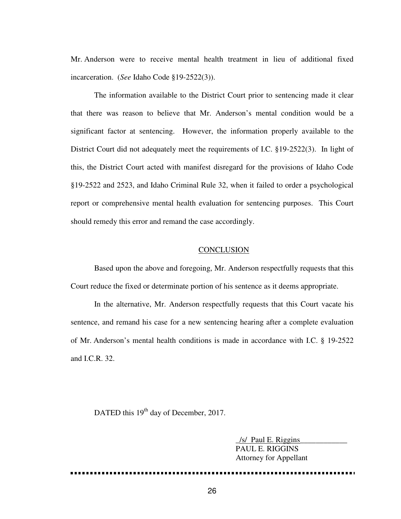Mr. Anderson were to receive mental health treatment in lieu of additional fixed incarceration. (*See* Idaho Code §19-2522(3)).

The information available to the District Court prior to sentencing made it clear that there was reason to believe that Mr. Anderson's mental condition would be a significant factor at sentencing. However, the information properly available to the District Court did not adequately meet the requirements of I.C. §19-2522(3). In light of this, the District Court acted with manifest disregard for the provisions of Idaho Code §19-2522 and 2523, and Idaho Criminal Rule 32, when it failed to order a psychological report or comprehensive mental health evaluation for sentencing purposes. This Court should remedy this error and remand the case accordingly.

### **CONCLUSION**

Based upon the above and foregoing, Mr. Anderson respectfully requests that this Court reduce the fixed or determinate portion of his sentence as it deems appropriate.

In the alternative, Mr. Anderson respectfully requests that this Court vacate his sentence, and remand his case for a new sentencing hearing after a complete evaluation of Mr. Anderson's mental health conditions is made in accordance with I.C. § 19-2522 and I.C.R. 32.

DATED this 19<sup>th</sup> day of December, 2017.

/s/ Paul E. Riggins PAUL E. RIGGINS Attorney for Appellant

•••••••••••••••••••••••••••••••••••••••••••••••••••••••••••••••••••••••••